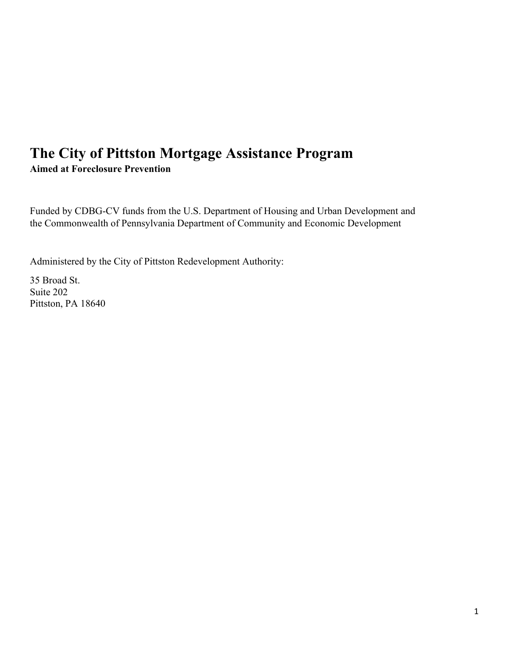# **The City of Pittston Mortgage Assistance Program Aimed at Foreclosure Prevention**

Funded by CDBG-CV funds from the U.S. Department of Housing and Urban Development and the Commonwealth of Pennsylvania Department of Community and Economic Development

Administered by the City of Pittston Redevelopment Authority:

35 Broad St. Suite 202 Pittston, PA 18640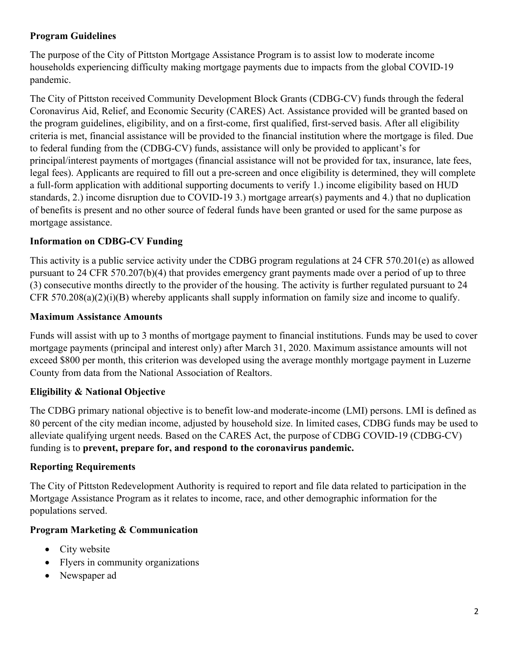### **Program Guidelines**

The purpose of the City of Pittston Mortgage Assistance Program is to assist low to moderate income households experiencing difficulty making mortgage payments due to impacts from the global COVID-19 pandemic.

The City of Pittston received Community Development Block Grants (CDBG-CV) funds through the federal Coronavirus Aid, Relief, and Economic Security (CARES) Act. Assistance provided will be granted based on the program guidelines, eligibility, and on a first-come, first qualified, first-served basis. After all eligibility criteria is met, financial assistance will be provided to the financial institution where the mortgage is filed. Due to federal funding from the (CDBG-CV) funds, assistance will only be provided to applicant's for principal/interest payments of mortgages (financial assistance will not be provided for tax, insurance, late fees, legal fees). Applicants are required to fill out a pre-screen and once eligibility is determined, they will complete a full-form application with additional supporting documents to verify 1.) income eligibility based on HUD standards, 2.) income disruption due to COVID-19 3.) mortgage arrear(s) payments and 4.) that no duplication of benefits is present and no other source of federal funds have been granted or used for the same purpose as mortgage assistance.

## **Information on CDBG-CV Funding**

This activity is a public service activity under the CDBG program regulations at 24 CFR 570.201(e) as allowed pursuant to 24 CFR 570.207(b)(4) that provides emergency grant payments made over a period of up to three (3) consecutive months directly to the provider of the housing. The activity is further regulated pursuant to 24 CFR 570.208(a)(2)(i)(B) whereby applicants shall supply information on family size and income to qualify.

### **Maximum Assistance Amounts**

Funds will assist with up to 3 months of mortgage payment to financial institutions. Funds may be used to cover mortgage payments (principal and interest only) after March 31, 2020. Maximum assistance amounts will not exceed \$800 per month, this criterion was developed using the average monthly mortgage payment in Luzerne County from data from the National Association of Realtors.

## **Eligibility & National Objective**

The CDBG primary national objective is to benefit low-and moderate-income (LMI) persons. LMI is defined as 80 percent of the city median income, adjusted by household size. In limited cases, CDBG funds may be used to alleviate qualifying urgent needs. Based on the CARES Act, the purpose of CDBG COVID-19 (CDBG-CV) funding is to **prevent, prepare for, and respond to the coronavirus pandemic.**

## **Reporting Requirements**

The City of Pittston Redevelopment Authority is required to report and file data related to participation in the Mortgage Assistance Program as it relates to income, race, and other demographic information for the populations served.

## **Program Marketing & Communication**

- City website
- Flyers in community organizations
- Newspaper ad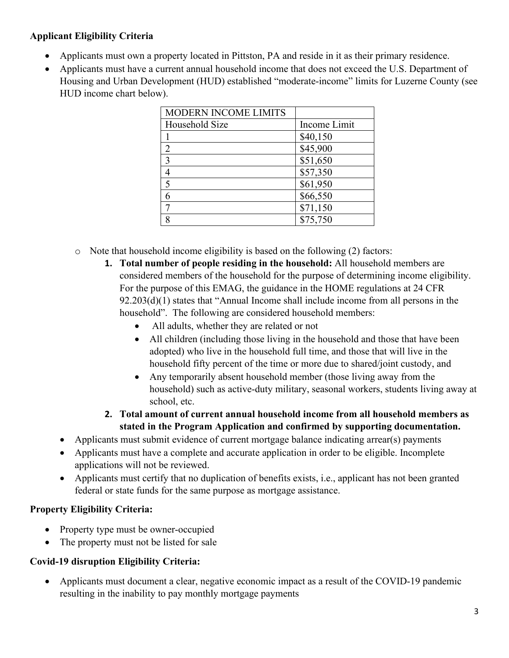### **Applicant Eligibility Criteria**

- Applicants must own a property located in Pittston, PA and reside in it as their primary residence.
- Applicants must have a current annual household income that does not exceed the U.S. Department of Housing and Urban Development (HUD) established "moderate-income" limits for Luzerne County (see HUD income chart below).

| <b>MODERN INCOME LIMITS</b> |              |
|-----------------------------|--------------|
| Household Size              | Income Limit |
|                             | \$40,150     |
| $\overline{2}$              | \$45,900     |
| 3                           | \$51,650     |
|                             | \$57,350     |
| 5                           | \$61,950     |
|                             | \$66,550     |
|                             | \$71,150     |
| Q                           | \$75,750     |

- o Note that household income eligibility is based on the following (2) factors:
	- **1. Total number of people residing in the household:** All household members are considered members of the household for the purpose of determining income eligibility. For the purpose of this EMAG, the guidance in the HOME regulations at 24 CFR 92.203(d)(1) states that "Annual Income shall include income from all persons in the household". The following are considered household members:
		- All adults, whether they are related or not
		- All children (including those living in the household and those that have been adopted) who live in the household full time, and those that will live in the household fifty percent of the time or more due to shared/joint custody, and
		- Any temporarily absent household member (those living away from the household) such as active-duty military, seasonal workers, students living away at school, etc.
	- **2. Total amount of current annual household income from all household members as stated in the Program Application and confirmed by supporting documentation.**
- Applicants must submit evidence of current mortgage balance indicating arrear(s) payments
- Applicants must have a complete and accurate application in order to be eligible. Incomplete applications will not be reviewed.
- Applicants must certify that no duplication of benefits exists, i.e., applicant has not been granted federal or state funds for the same purpose as mortgage assistance.

## **Property Eligibility Criteria:**

- Property type must be owner-occupied
- The property must not be listed for sale

#### **Covid-19 disruption Eligibility Criteria:**

• Applicants must document a clear, negative economic impact as a result of the COVID-19 pandemic resulting in the inability to pay monthly mortgage payments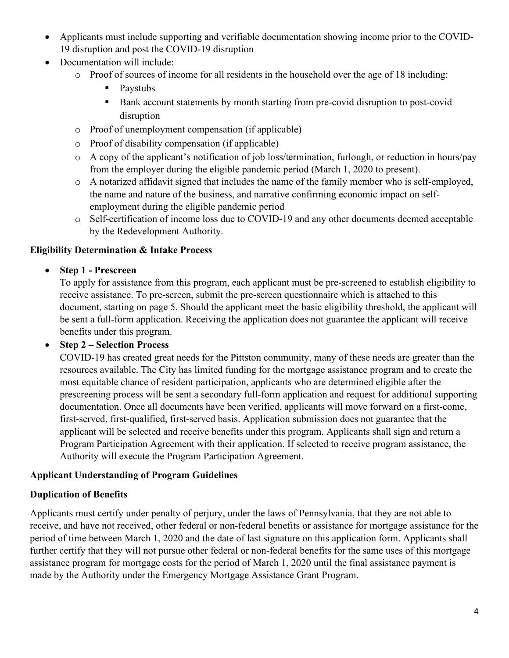- Applicants must include supporting and verifiable documentation showing income prior to the COVID-19 disruption and post the COVID-19 disruption
- Documentation will include:
	- o Proof of sources of income for all residents in the household over the age of 18 including:
		- Paystubs
		- Bank account statements by month starting from pre-covid disruption to post-covid disruption
	- o Proof of unemployment compensation (if applicable)
	- o Proof of disability compensation (if applicable)
	- o A copy of the applicant's notification of job loss/termination, furlough, or reduction in hours/pay from the employer during the eligible pandemic period (March 1, 2020 to present).
	- o A notarized affidavit signed that includes the name of the family member who is self-employed, the name and nature of the business, and narrative confirming economic impact on selfemployment during the eligible pandemic period
	- o Self-certification of income loss due to COVID-19 and any other documents deemed acceptable by the Redevelopment Authority.

#### **Eligibility Determination & Intake Process**

• **Step 1 - Prescreen**

To apply for assistance from this program, each applicant must be pre-screened to establish eligibility to receive assistance. To pre-screen, submit the pre-screen questionnaire which is attached to this document, starting on page 5. Should the applicant meet the basic eligibility threshold, the applicant will be sent a full-form application. Receiving the application does not guarantee the applicant will receive benefits under this program.

#### • **Step 2 – Selection Process**

COVID-19 has created great needs for the Pittston community, many of these needs are greater than the resources available. The City has limited funding for the mortgage assistance program and to create the most equitable chance of resident participation, applicants who are determined eligible after the prescreening process will be sent a secondary full-form application and request for additional supporting documentation. Once all documents have been verified, applicants will move forward on a first-come, first-served, first-qualified, first-served basis. Application submission does not guarantee that the applicant will be selected and receive benefits under this program. Applicants shall sign and return a Program Participation Agreement with their application. If selected to receive program assistance, the Authority will execute the Program Participation Agreement.

#### **Applicant Understanding of Program Guidelines**

#### **Duplication of Benefits**

Applicants must certify under penalty of perjury, under the laws of Pennsylvania, that they are not able to receive, and have not received, other federal or non-federal benefits or assistance for mortgage assistance for the period of time between March 1, 2020 and the date of last signature on this application form. Applicants shall further certify that they will not pursue other federal or non-federal benefits for the same uses of this mortgage assistance program for mortgage costs for the period of March 1, 2020 until the final assistance payment is made by the Authority under the Emergency Mortgage Assistance Grant Program.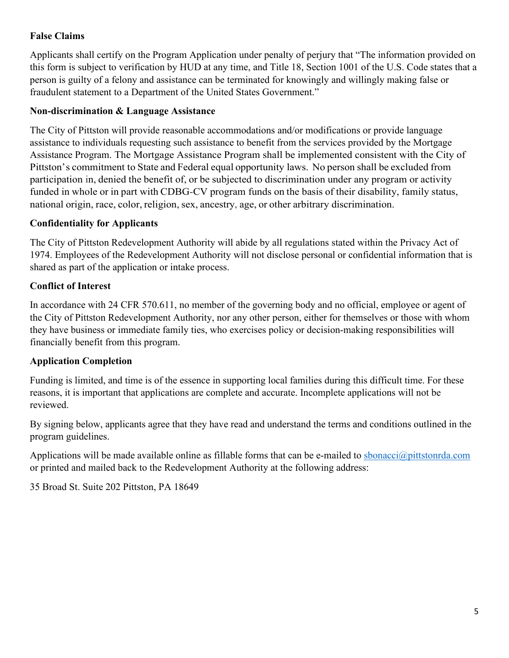### **False Claims**

Applicants shall certify on the Program Application under penalty of perjury that "The information provided on this form is subject to verification by HUD at any time, and Title 18, Section 1001 of the U.S. Code states that a person is guilty of a felony and assistance can be terminated for knowingly and willingly making false or fraudulent statement to a Department of the United States Government."

#### **Non-discrimination & Language Assistance**

The City of Pittston will provide reasonable accommodations and/or modifications or provide language assistance to individuals requesting such assistance to benefit from the services provided by the Mortgage Assistance Program. The Mortgage Assistance Program shall be implemented consistent with the City of Pittston's commitment to State and Federal equal opportunity laws. No person shall be excluded from participation in, denied the benefit of, or be subjected to discrimination under any program or activity funded in whole or in part with CDBG-CV program funds on the basis of their disability, family status, national origin, race, color, religion, sex, ancestry, age, or other arbitrary discrimination.

#### **Confidentiality for Applicants**

The City of Pittston Redevelopment Authority will abide by all regulations stated within the Privacy Act of 1974. Employees of the Redevelopment Authority will not disclose personal or confidential information that is shared as part of the application or intake process.

### **Conflict of Interest**

In accordance with 24 CFR 570.611, no member of the governing body and no official, employee or agent of the City of Pittston Redevelopment Authority, nor any other person, either for themselves or those with whom they have business or immediate family ties, who exercises policy or decision-making responsibilities will financially benefit from this program.

#### **Application Completion**

Funding is limited, and time is of the essence in supporting local families during this difficult time. For these reasons, it is important that applications are complete and accurate. Incomplete applications will not be reviewed.

By signing below, applicants agree that they have read and understand the terms and conditions outlined in the program guidelines.

Applications will be made available online as fillable forms that can be e-mailed to sbonacci@pittstonrda.com or printed and mailed back to the Redevelopment Authority at the following address:

35 Broad St. Suite 202 Pittston, PA 18649